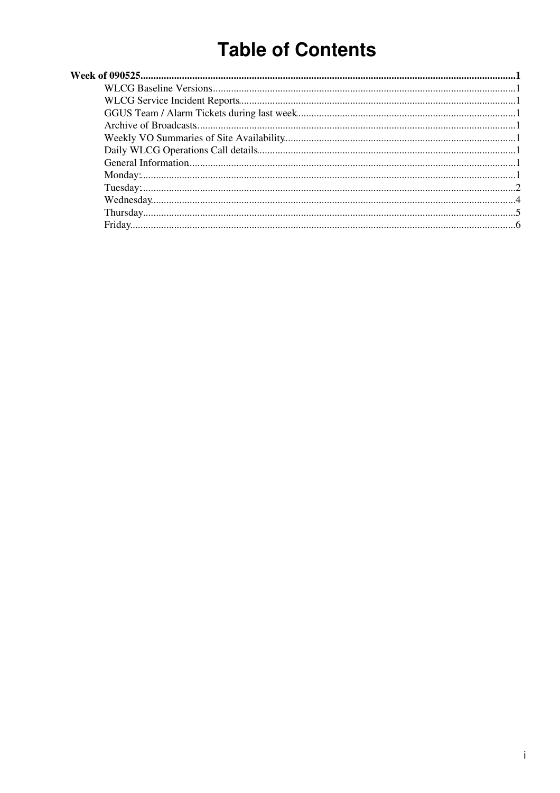# **Table of Contents**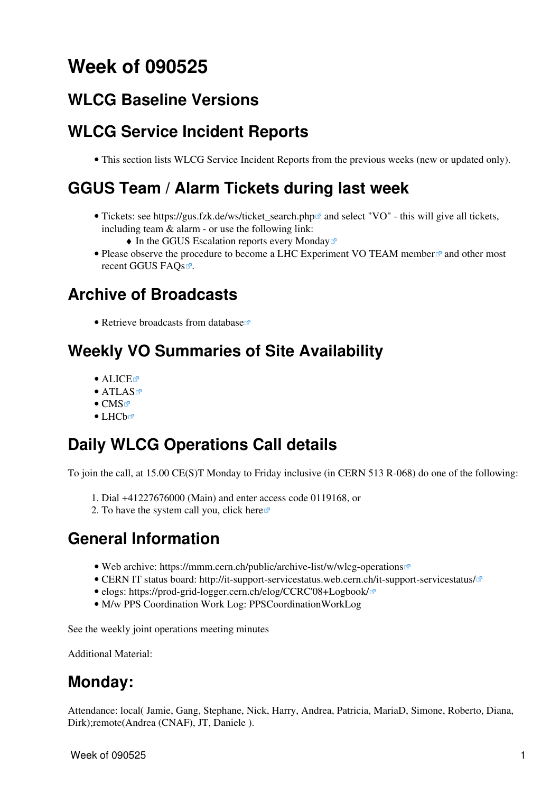# <span id="page-1-0"></span>**Week of 090525**

#### <span id="page-1-1"></span>**[WLCG Baseline Versions](https://twiki.cern.ch/twiki/bin/view/LCG/WLCGBaselineVersions)**

## <span id="page-1-2"></span>**WLCG Service Incident Reports**

• This section lists [WLCG Service Incident Reports](https://twiki.cern.ch/twiki/bin/view/LCG/WLCGServiceIncidents) from the previous weeks (new or updated only).

#### <span id="page-1-3"></span>**GGUS Team / Alarm Tickets during last week**

- Tickets: see https://gus.fzk.de/ws/ticket\_search.php<sup>{{}}</sup> and select "VO" this will give all tickets, including team & alarm - or use the following link:
	- $\triangle$  [In the GGUS Escalation reports every Monday](https://gus.fzk.de/pages/metrics/download_escalation_reports_wlcg.php)<sup>®</sup>
- Please observe [the procedure to become a LHC Experiment VO TEAM member](https://gus.fzk.de/pages/ggus-docs/documentation/pdf/1541_FAQ_for_team_member_registration.pdf)<sup>®</sup> and other most recent [GGUS FAQs](https://gus.fzk.de/pages/faq.php).<sup>®</sup>.

## <span id="page-1-4"></span>**Archive of Broadcasts**

• [Retrieve broadcasts from database](https://cic.gridops.org/index.php?section=roc&page=broadcastretrievalD)

#### <span id="page-1-5"></span>**Weekly VO Summaries of Site Availability**

- [ALICE](http://dashb-alice-sam.cern.ch/dashboard/request.py/historicalsiteavailability?mode=siteavl&siteSelect3=101&sites=CERN-PROD&sites=FZK-LCG2&sites=IN2P3-CC&sites=INFN-T1&sites=NDGF-T1&sites=NIKHEF-ELPROD&sites=RAL-LCG2&sites=SARA-MATRIX&algoId=6&timeRange=lastWeek)E
- [ATLAS](http://dashb-atlas-sam.cern.ch/dashboard/request.py/historicalsiteavailability?mode=siteavl&siteSelect3=403&sites=CERN-PROD&sites=FZK-LCG2&sites=IN2P3-CC&sites=INFN-CNAF&sites=NDGF-T1&sites=NIKHEF-ELPROD&sites=RAL-LCG2&sites=SARA-MATRIX&sites=TRIUMF-LCG2&sites=Taiwan-LCG2&sites=pic&algoId=21&timeRange=lastWeek)
- $\bullet$  [CMS](http://dashb-cms-sam.cern.ch/dashboard/request.py/historicalsiteavailability?siteSelect3=T1T0&sites=T0_CH_CERN&sites=T1_DE_FZK&sites=T1_ES_PIC&sites=T1_FR_CCIN2P3&sites=T1_IT_CNAF&sites=T1_TW_ASGC&sites=T1_UK_RAL&sites=T1_US_FNAL&timeRange=lastWeek) $\vec{e}$
- [LHCb](http://dashb-lhcb-sam.cern.ch/dashboard/request.py/historicalsiteavailability?mode=siteavl&siteSelect3=501&sites=LCG.CERN.ch&sites=LCG.CNAF.it&sites=LCG.GRIDKA.de&sites=LCG.IN2P3.fr&sites=LCG.NIKHEF.nl&sites=LCG.PIC.es&sites=LCG.RAL.uk&algoId=82&timeRange=lastWeek)

### <span id="page-1-6"></span>**Daily WLCG Operations Call details**

To join the call, at 15.00 CE(S)T Monday to Friday inclusive (in CERN 513 R-068) do one of the following:

- 1. Dial +41227676000 (Main) and enter access code 0119168, or
- 2. To have the system call you, click [here](https://audioconf.cern.ch/call/0119168) $\Phi$

### <span id="page-1-7"></span>**General Information**

- Web archive: <https://mmm.cern.ch/public/archive-list/w/wlcg-operations>
- CERN IT status board: <http://it-support-servicestatus.web.cern.ch/it-support-servicestatus/> $\mathbb{F}$
- elogs: [https://prod-grid-logger.cern.ch/elog/CCRC'08+Logbook/](https://prod-grid-logger.cern.ch/elog/CCRC) $\Phi$
- M/w PPS Coordination Work Log: [PPSCoordinationWorkLog](https://twiki.cern.ch/twiki/bin/view/LCG/PPSCoordinationWorkLog)

See the [weekly joint operations meeting minutes](https://twiki.cern.ch/twiki/bin/view/EGEE/WlcgOsgEgeeOpsMeetingMinutes)

Additional Material:

### <span id="page-1-8"></span>**Monday:**

Attendance: local( Jamie, Gang, Stephane, Nick, Harry, Andrea, Patricia, [MariaD](https://twiki.cern.ch/twiki/bin/edit/LCG/MariaD?topicparent=LCG.WLCGDailyMeetingsWeek090525;nowysiwyg=1), Simone, Roberto, Diana, Dirk);remote(Andrea (CNAF), JT, Daniele ).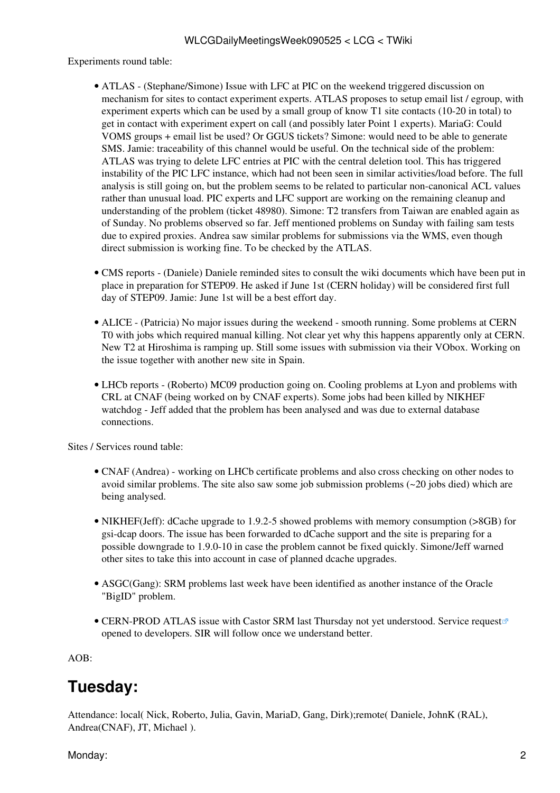Experiments round table:

- ATLAS (Stephane/Simone) Issue with LFC at PIC on the weekend triggered discussion on mechanism for sites to contact experiment experts. ATLAS proposes to setup email list / egroup, with experiment experts which can be used by a small group of know T1 site contacts (10-20 in total) to get in contact with experiment expert on call (and possibly later Point 1 experts). [MariaG:](https://twiki.cern.ch/twiki/bin/edit/LCG/MariaG?topicparent=LCG.WLCGDailyMeetingsWeek090525;nowysiwyg=1) Could [VOMS](https://twiki.cern.ch/twiki/bin/view/LCG/VOMS) groups + email list be used? Or GGUS tickets? Simone: would need to be able to generate SMS. Jamie: traceability of this channel would be useful. On the technical side of the problem: ATLAS was trying to delete LFC entries at PIC with the central deletion tool. This has triggered instability of the PIC LFC instance, which had not been seen in similar activities/load before. The full analysis is still going on, but the problem seems to be related to particular non-canonical ACL values rather than unusual load. PIC experts and LFC support are working on the remaining cleanup and understanding of the problem (ticket 48980). Simone: T2 transfers from Taiwan are enabled again as of Sunday. No problems observed so far. Jeff mentioned problems on Sunday with failing sam tests due to expired proxies. Andrea saw similar problems for submissions via the WMS, even though direct submission is working fine. To be checked by the ATLAS.
- CMS [reports](https://twiki.cern.ch/twiki/bin/view/CMS/FacOps_WLCGdailyreports) (Daniele) Daniele reminded sites to consult the wiki documents which have been put in place in preparation for STEP09. He asked if June 1st (CERN holiday) will be considered first full day of STEP09. Jamie: June 1st will be a best effort day.
- ALICE (Patricia) No major issues during the weekend smooth running. Some problems at CERN T0 with jobs which required manual killing. Not clear yet why this happens apparently only at CERN. New T2 at Hiroshima is ramping up. Still some issues with submission via their VObox. Working on the issue together with another new site in Spain.
- LHCb [reports](https://twiki.cern.ch/twiki/bin/view/LHCb/ProductionOperationsWLCGdailyReports)  (Roberto) MC09 production going on. Cooling problems at Lyon and problems with CRL at CNAF (being worked on by CNAF experts). Some jobs had been killed by NIKHEF watchdog - Jeff added that the problem has been analysed and was due to external database connections.

Sites / Services round table:

- CNAF (Andrea) working on LHCb certificate problems and also cross checking on other nodes to avoid similar problems. The site also saw some job submission problems (~20 jobs died) which are being analysed.
- NIKHEF(Jeff): dCache upgrade to 1.9.2-5 showed problems with memory consumption (>8GB) for gsi-dcap doors. The issue has been forwarded to dCache support and the site is preparing for a possible downgrade to 1.9.0-10 in case the problem cannot be fixed quickly. Simone/Jeff warned other sites to take this into account in case of planned dcache upgrades.
- ASGC(Gang): SRM problems last week have been identified as another instance of the Oracle "BigID" problem.
- CERN-PROD ATLAS issue with Castor SRM last Thursday not yet understood. [Service request](https://savannah.cern.ch/support/?108267) opened to developers. SIR will follow once we understand better.

AOB:

### <span id="page-2-0"></span>**Tuesday:**

Attendance: local( Nick, Roberto, Julia, Gavin, [MariaD](https://twiki.cern.ch/twiki/bin/edit/LCG/MariaD?topicparent=LCG.WLCGDailyMeetingsWeek090525;nowysiwyg=1), Gang, Dirk);remote( Daniele, [JohnK](https://twiki.cern.ch/twiki/bin/edit/LCG/JohnK?topicparent=LCG.WLCGDailyMeetingsWeek090525;nowysiwyg=1) ([RAL\)](https://twiki.cern.ch/twiki/bin/view/LCG/RAL), Andrea(CNAF), JT, Michael ).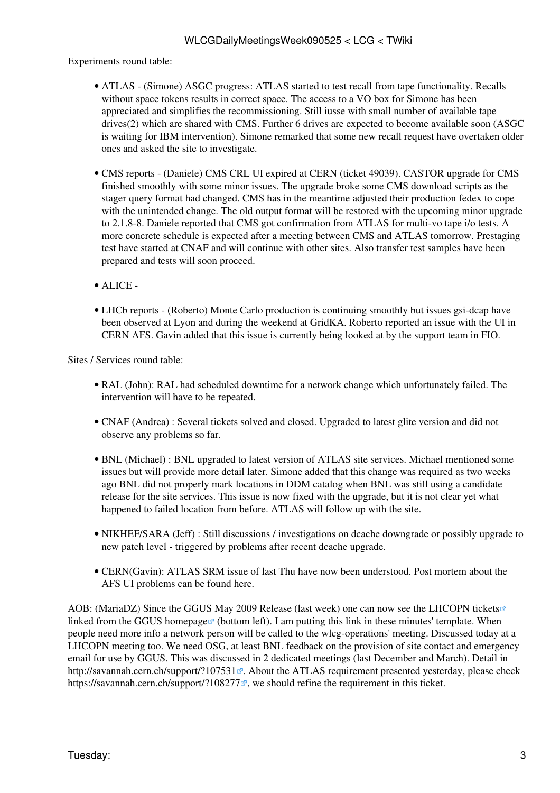Experiments round table:

- ATLAS (Simone) ASGC progress: ATLAS started to test recall from tape functionality. Recalls without space tokens results in correct space. The access to a VO box for Simone has been appreciated and simplifies the recommissioning. Still iusse with small number of available tape drives(2) which are shared with CMS. Further 6 drives are expected to become available soon (ASGC is waiting for IBM intervention). Simone remarked that some new recall request have overtaken older ones and asked the site to investigate.
- CMS [reports](https://twiki.cern.ch/twiki/bin/view/CMS/FacOps_WLCGdailyreports) (Daniele) CMS CRL UI expired at CERN (ticket 49039). CASTOR upgrade for CMS finished smoothly with some minor issues. The upgrade broke some CMS download scripts as the stager query format had changed. CMS has in the meantime adjusted their production fedex to cope with the unintended change. The old output format will be restored with the upcoming minor upgrade to 2.1.8-8. Daniele reported that CMS got confirmation from ATLAS for multi-vo tape i/o tests. A more concrete schedule is expected after a meeting between CMS and ATLAS tomorrow. Prestaging test have started at CNAF and will continue with other sites. Also transfer test samples have been prepared and tests will soon proceed.
- ALICE -
- LHCb [reports](https://twiki.cern.ch/twiki/bin/view/LHCb/ProductionOperationsWLCGdailyReports)  (Roberto) Monte Carlo production is continuing smoothly but issues gsi-dcap have been observed at Lyon and during the weekend at [GridKA.](https://twiki.cern.ch/twiki/bin/edit/LCG/GridKA?topicparent=LCG.WLCGDailyMeetingsWeek090525;nowysiwyg=1) Roberto reported an issue with the UI in CERN AFS. Gavin added that this issue is currently being looked at by the support team in FIO.

Sites / Services round table:

- [RAL](https://twiki.cern.ch/twiki/bin/view/LCG/RAL) (John): [RAL](https://twiki.cern.ch/twiki/bin/view/LCG/RAL) had scheduled downtime for a network change which unfortunately failed. The intervention will have to be repeated.
- CNAF (Andrea) : Several tickets solved and closed. Upgraded to latest glite version and did not observe any problems so far.
- BNL (Michael) : BNL upgraded to latest version of ATLAS site services. Michael mentioned some issues but will provide more detail later. Simone added that this change was required as two weeks ago BNL did not properly mark locations in DDM catalog when BNL was still using a candidate release for the site services. This issue is now fixed with the upgrade, but it is not clear yet what happened to failed location from before. ATLAS will follow up with the site.
- NIKHEF/SARA (Jeff) : Still discussions / investigations on dcache downgrade or possibly upgrade to new patch level - triggered by problems after recent dcache upgrade.
- CERN(Gavin): ATLAS SRM issue of last Thu have now been understood. Post mortem about the AFS UI problems can be found [here.](https://twiki.cern.ch/twiki/bin/view/FIOgroup/PostMortem20090526)

AOB: ([MariaDZ\)](https://twiki.cern.ch/twiki/bin/edit/LCG/MariaDZ?topicparent=LCG.WLCGDailyMeetingsWeek090525;nowysiwyg=1) Since the GGUS May 2009 Release (last week) one can now see the [LHCOPN tickets](https://gus.fzk.de/pages/all_lhcopn.php) linked from the [GGUS homepage](http://ggus.org)  $\mathbb{P}$  (bottom left). I am putting this link in these minutes' template. When people need more info a network person will be called to the wlcg-operations' meeting. Discussed today at a LHCOPN meeting too. We need OSG, at least BNL feedback on the provision of site contact and emergency email for use by GGUS. This was discussed in 2 dedicated meetings (last December and March). Detail in <http://savannah.cern.ch/support/?107531> $\mathbb{R}$ . About the ATLAS requirement presented yesterday, please check <https://savannah.cern.ch/support/?108277><sup>®</sup>, we should refine the requirement in this ticket.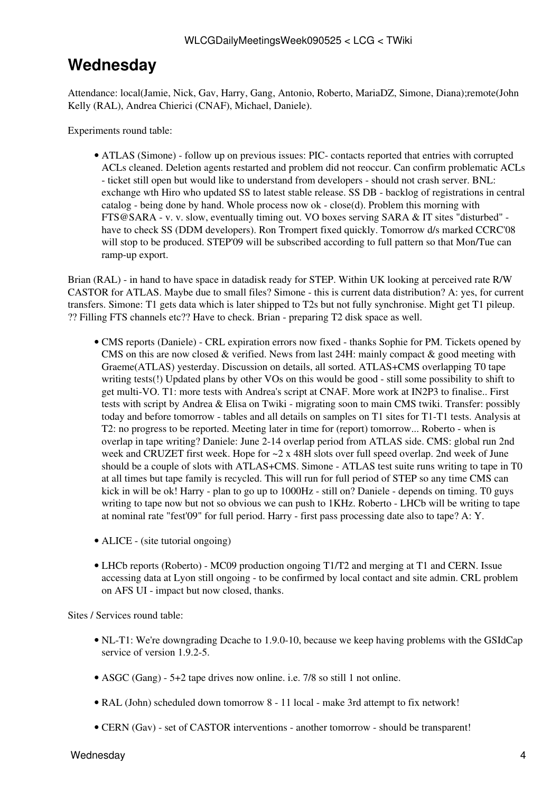### <span id="page-4-0"></span>**Wednesday**

Attendance: local(Jamie, Nick, Gav, Harry, Gang, Antonio, Roberto, [MariaDZ,](https://twiki.cern.ch/twiki/bin/edit/LCG/MariaDZ?topicparent=LCG.WLCGDailyMeetingsWeek090525;nowysiwyg=1) Simone, Diana);remote(John Kelly ([RAL\)](https://twiki.cern.ch/twiki/bin/view/LCG/RAL), Andrea Chierici (CNAF), Michael, Daniele).

Experiments round table:

• ATLAS (Simone) - follow up on previous issues: PIC- contacts reported that entries with corrupted ACLs cleaned. Deletion agents restarted and problem did not reoccur. Can confirm problematic ACLs - ticket still open but would like to understand from developers - should not crash server. BNL: exchange wth Hiro who updated SS to latest stable release. SS DB - backlog of registrations in central catalog - being done by hand. Whole process now ok - close(d). Problem this morning with [FTS@SARA](mailto:FTS@SARA) - v. v. slow, eventually timing out. VO boxes serving SARA & IT sites "disturbed" have to check SS (DDM developers). Ron Trompert fixed quickly. Tomorrow d/s marked CCRC'08 will stop to be produced. STEP'09 will be subscribed according to full pattern so that Mon/Tue can ramp-up export.

Brian ([RAL\)](https://twiki.cern.ch/twiki/bin/view/LCG/RAL) - in hand to have space in datadisk ready for STEP. Within UK looking at perceived rate R/W CASTOR for ATLAS. Maybe due to small files? Simone - this is current data distribution? A: yes, for current transfers. Simone: T1 gets data which is later shipped to T2s but not fully synchronise. Might get T1 pileup. ?? Filling FTS channels etc?? Have to check. Brian - preparing T2 disk space as well.

- CMS [reports](https://twiki.cern.ch/twiki/bin/view/CMS/FacOps_WLCGdailyreports) (Daniele) CRL expiration errors now fixed thanks Sophie for PM. Tickets opened by CMS on this are now closed  $\&$  verified. News from last 24H: mainly compact  $\&$  good meeting with Graeme(ATLAS) yesterday. Discussion on details, all sorted. ATLAS+CMS overlapping T0 tape writing tests(!) Updated plans by other VOs on this would be good - still some possibility to shift to get multi-VO. T1: more tests with Andrea's script at CNAF. More work at [IN2P3](https://twiki.cern.ch/twiki/bin/view/LCG/IN2P3) to finalise.. First tests with script by Andrea & Elisa on Twiki - migrating soon to main CMS twiki. Transfer: possibly today and before tomorrow - tables and all details on samples on T1 sites for T1-T1 tests. Analysis at T2: no progress to be reported. Meeting later in time for (report) tomorrow... Roberto - when is overlap in tape writing? Daniele: June 2-14 overlap period from ATLAS side. CMS: global run 2nd week and CRUZET first week. Hope for ~2 x 48H slots over full speed overlap. 2nd week of June should be a couple of slots with ATLAS+CMS. Simone - ATLAS test suite runs writing to tape in T0 at all times but tape family is recycled. This will run for full period of STEP so any time CMS can kick in will be ok! Harry - plan to go up to 1000Hz - still on? Daniele - depends on timing. T0 guys writing to tape now but not so obvious we can push to 1KHz. Roberto - LHCb will be writing to tape at nominal rate "fest'09" for full period. Harry - first pass processing date also to tape? A: Y.
- ALICE (site tutorial ongoing)
- LHCb [reports](https://twiki.cern.ch/twiki/bin/view/LHCb/ProductionOperationsWLCGdailyReports) (Roberto) MC09 production ongoing T1/T2 and merging at T1 and CERN. Issue accessing data at Lyon still ongoing - to be confirmed by local contact and site admin. CRL problem on AFS UI - impact but now closed, thanks.

Sites / Services round table:

- NL-T1: We're downgrading Dcache to 1.9.0-10, because we keep having problems with the [GSIdCap](https://twiki.cern.ch/twiki/bin/edit/LCG/GSIdCap?topicparent=LCG.WLCGDailyMeetingsWeek090525;nowysiwyg=1) service of version 1.9.2-5.
- ASGC (Gang) 5+2 tape drives now online. i.e. 7/8 so still 1 not online.
- [RAL](https://twiki.cern.ch/twiki/bin/view/LCG/RAL) (John) scheduled down tomorrow 8 11 local make 3rd attempt to fix network!
- CERN (Gav) set of CASTOR interventions another tomorrow should be transparent!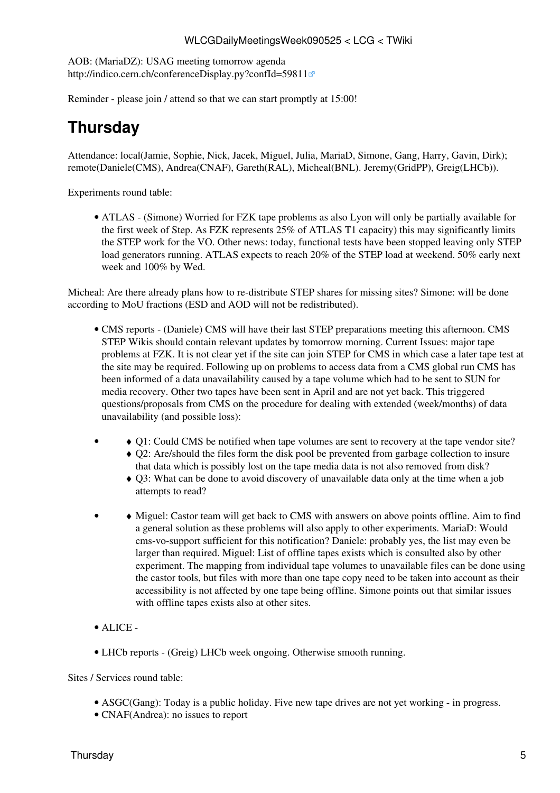AOB: ([MariaDZ\)](https://twiki.cern.ch/twiki/bin/edit/LCG/MariaDZ?topicparent=LCG.WLCGDailyMeetingsWeek090525;nowysiwyg=1): USAG meeting tomorrow agenda <http://indico.cern.ch/conferenceDisplay.py?confId=59811>

Reminder - please join / attend so that we can start promptly at 15:00!

# <span id="page-5-0"></span>**Thursday**

Attendance: local(Jamie, Sophie, Nick, Jacek, Miguel, Julia, [MariaD,](https://twiki.cern.ch/twiki/bin/edit/LCG/MariaD?topicparent=LCG.WLCGDailyMeetingsWeek090525;nowysiwyg=1) Simone, Gang, Harry, Gavin, Dirk); remote(Daniele(CMS), Andrea(CNAF), Gareth([RAL\)](https://twiki.cern.ch/twiki/bin/view/LCG/RAL), Micheal(BNL). Jeremy[\(GridPP](https://twiki.cern.ch/twiki/bin/view/LCG/GridPP)), Greig(LHCb)).

Experiments round table:

ATLAS - (Simone) Worried for FZK tape problems as also Lyon will only be partially available for • the first week of Step. As FZK represents 25% of ATLAS T1 capacity) this may significantly limits the STEP work for the VO. Other news: today, functional tests have been stopped leaving only STEP load generators running. ATLAS expects to reach 20% of the STEP load at weekend. 50% early next week and 100% by Wed.

Micheal: Are there already plans how to re-distribute STEP shares for missing sites? Simone: will be done according to [MoU](https://twiki.cern.ch/twiki/bin/view/LCG/MoU) fractions (ESD and AOD will not be redistributed).

- CMS [reports](https://twiki.cern.ch/twiki/bin/view/CMS/FacOps_WLCGdailyreports) (Daniele) CMS will have their last STEP preparations meeting this afternoon. CMS STEP Wikis should contain relevant updates by tomorrow morning. Current Issues: major tape problems at FZK. It is not clear yet if the site can join STEP for CMS in which case a later tape test at the site may be required. Following up on problems to access data from a CMS global run CMS has been informed of a data unavailability caused by a tape volume which had to be sent to SUN for media recovery. Other two tapes have been sent in April and are not yet back. This triggered questions/proposals from CMS on the procedure for dealing with extended (week/months) of data unavailability (and possible loss):
- ♦ Q1: Could CMS be notified when tape volumes are sent to recovery at the tape vendor site? Q2: Are/should the files form the disk pool be prevented from garbage collection to insure ♦ that data which is possibly lost on the tape media data is not also removed from disk? •
	- Q3: What can be done to avoid discovery of unavailable data only at the time when a job ♦ attempts to read?
- • Miguel: Castor team will get back to CMS with answers on above points offline. Aim to find a general solution as these problems will also apply to other experiments. [MariaD:](https://twiki.cern.ch/twiki/bin/edit/LCG/MariaD?topicparent=LCG.WLCGDailyMeetingsWeek090525;nowysiwyg=1) Would cms-vo-support sufficient for this notification? Daniele: probably yes, the list may even be larger than required. Miguel: List of offline tapes exists which is consulted also by other experiment. The mapping from individual tape volumes to unavailable files can be done using the castor tools, but files with more than one tape copy need to be taken into account as their accessibility is not affected by one tape being offline. Simone points out that similar issues with offline tapes exists also at other sites.
- ALICE -
- LHCb [reports](https://twiki.cern.ch/twiki/bin/view/LHCb/ProductionOperationsWLCGdailyReports)  (Greig) LHCb week ongoing. Otherwise smooth running.

Sites / Services round table:

- ASGC(Gang): Today is a public holiday. Five new tape drives are not yet working in progress.
- CNAF(Andrea): no issues to report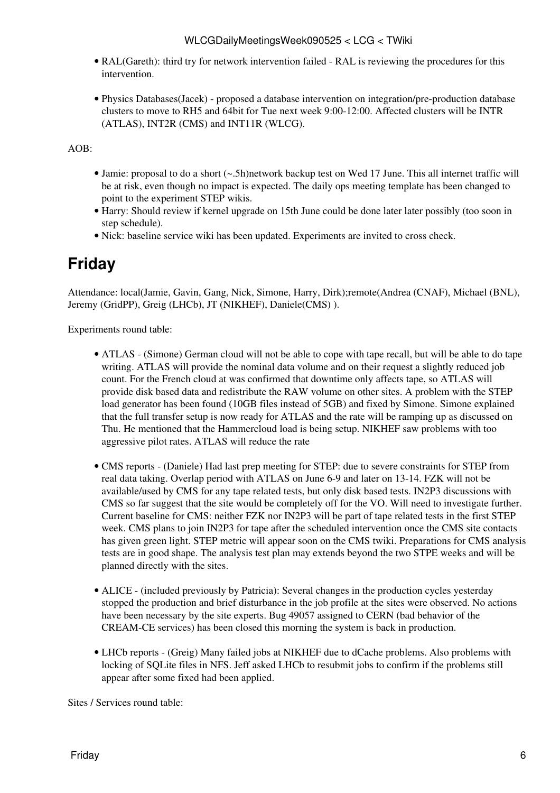- [RAL](https://twiki.cern.ch/twiki/bin/view/LCG/RAL)(Gareth): third try for network intervention failed - [RAL](https://twiki.cern.ch/twiki/bin/view/LCG/RAL) is reviewing the procedures for this intervention.
- Physics Databases(Jacek) proposed a database intervention on integration/pre-production database clusters to move to RH5 and 64bit for Tue next week 9:00-12:00. Affected clusters will be INTR (ATLAS), [INT2R](https://twiki.cern.ch/twiki/bin/edit/LCG/INT2R?topicparent=LCG.WLCGDailyMeetingsWeek090525;nowysiwyg=1) (CMS) and [INT11R](https://twiki.cern.ch/twiki/bin/edit/LCG/INT11R?topicparent=LCG.WLCGDailyMeetingsWeek090525;nowysiwyg=1) (WLCG).

AOB:

- Jamie: proposal to do a short (~.5h)network backup test on Wed 17 June. This all internet traffic will be at risk, even though no impact is expected. The daily ops meeting template has been changed to point to the experiment STEP wikis.
- Harry: Should review if kernel upgrade on 15th June could be done later later possibly (too soon in step schedule).
- Nick: baseline service wiki has been updated. Experiments are invited to cross check.

## <span id="page-6-0"></span>**Friday**

Attendance: local(Jamie, Gavin, Gang, Nick, Simone, Harry, Dirk);remote(Andrea (CNAF), Michael (BNL), Jeremy [\(GridPP\)](https://twiki.cern.ch/twiki/bin/view/LCG/GridPP), Greig (LHCb), JT (NIKHEF), Daniele(CMS) ).

Experiments round table:

- ATLAS (Simone) German cloud will not be able to cope with tape recall, but will be able to do tape writing. ATLAS will provide the nominal data volume and on their request a slightly reduced job count. For the French cloud at was confirmed that downtime only affects tape, so ATLAS will provide disk based data and redistribute the RAW volume on other sites. A problem with the STEP load generator has been found (10GB files instead of 5GB) and fixed by Simone. Simone explained that the full transfer setup is now ready for ATLAS and the rate will be ramping up as discussed on Thu. He mentioned that the Hammercloud load is being setup. NIKHEF saw problems with too aggressive pilot rates. ATLAS will reduce the rate
- CMS [reports](https://twiki.cern.ch/twiki/bin/view/CMS/FacOps_WLCGdailyreports) (Daniele) Had last prep meeting for STEP: due to severe constraints for STEP from real data taking. Overlap period with ATLAS on June 6-9 and later on 13-14. FZK will not be available/used by CMS for any tape related tests, but only disk based tests. [IN2P3](https://twiki.cern.ch/twiki/bin/view/LCG/IN2P3) discussions with CMS so far suggest that the site would be completely off for the VO. Will need to investigate further. Current baseline for CMS: neither FZK nor [IN2P3](https://twiki.cern.ch/twiki/bin/view/LCG/IN2P3) will be part of tape related tests in the first STEP week. CMS plans to join [IN2P3](https://twiki.cern.ch/twiki/bin/view/LCG/IN2P3) for tape after the scheduled intervention once the CMS site contacts has given green light. STEP metric will appear soon on the CMS twiki. Preparations for CMS analysis tests are in good shape. The analysis test plan may extends beyond the two STPE weeks and will be planned directly with the sites.
- ALICE (included previously by Patricia): Several changes in the production cycles yesterday stopped the production and brief disturbance in the job profile at the sites were observed. No actions have been necessary by the site experts. Bug 49057 assigned to CERN (bad behavior of the [CREAM](https://twiki.cern.ch/twiki/bin/view/LCG/CREAM)-CE services) has been closed this morning the system is back in production.
- LHCb [reports](https://twiki.cern.ch/twiki/bin/view/LHCb/ProductionOperationsWLCGdailyReports)  (Greig) Many failed jobs at NIKHEF due to dCache problems. Also problems with locking of SQLite files in NFS. Jeff asked LHCb to resubmit jobs to confirm if the problems still appear after some fixed had been applied.

Sites / Services round table: